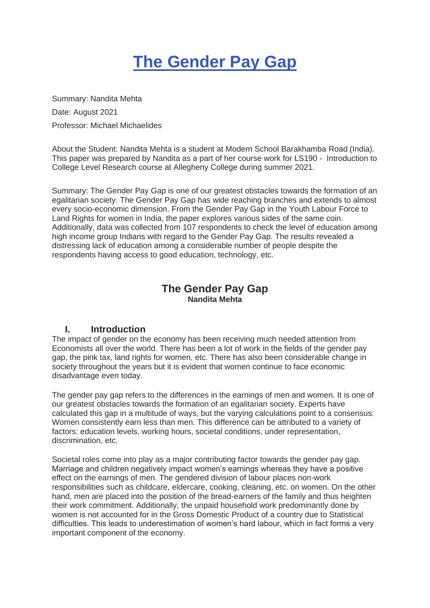# **The Gender Pay Gap**

Summary: Nandita Mehta Date: August 2021 Professor: Michael Michaelides

About the Student: Nandita Mehta is a student at Modern School Barakhamba Road (India). This paper was prepared by Nandita as a part of her course work for LS190 - Introduction to College Level Research course at Allegheny College during summer 2021.

Summary: The Gender Pay Gap is one of our greatest obstacles towards the formation of an egalitarian society. The Gender Pay Gap has wide reaching branches and extends to almost every socio-economic dimension. From the Gender Pay Gap in the Youth Labour Force to Land Rights for women in India, the paper explores various sides of the same coin. Additionally, data was collected from 107 respondents to check the level of education among high income group Indians with regard to the Gender Pay Gap. The results revealed a distressing lack of education among a considerable number of people despite the respondents having access to good education, technology, etc.

# **The Gender Pay Gap Nandita Mehta**

## **I. Introduction**

The impact of gender on the economy has been receiving much needed attention from Economists all over the world. There has been a lot of work in the fields of the gender pay gap, the pink tax, land rights for women, etc. There has also been considerable change in society throughout the years but it is evident that women continue to face economic disadvantage even today.

The gender pay gap refers to the differences in the earnings of men and women. It is one of our greatest obstacles towards the formation of an egalitarian society. Experts have calculated this gap in a multitude of ways, but the varying calculations point to a consensus: Women consistently earn less than men. This difference can be attributed to a variety of factors: education levels, working hours, societal conditions, under representation, discrimination, etc.

Societal roles come into play as a major contributing factor towards the gender pay gap. Marriage and children negatively impact women's earnings whereas they have a positive effect on the earnings of men. The gendered division of labour places non-work responsibilities such as childcare, eldercare, cooking, cleaning, etc. on women. On the other hand, men are placed into the position of the bread-earners of the family and thus heighten their work commitment. Additionally, the unpaid household work predominantly done by women is not accounted for in the Gross Domestic Product of a country due to Statistical difficulties. This leads to underestimation of women's hard labour, which in fact forms a very important component of the economy.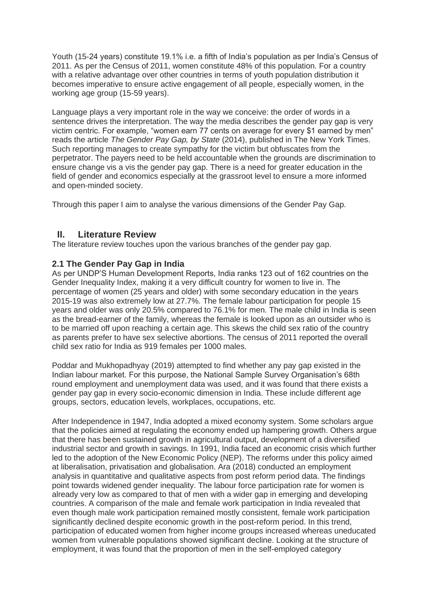Youth (15-24 years) constitute 19.1% i.e. a fifth of India's population as per India's Census of 2011. As per the Census of 2011, women constitute 48% of this population. For a country with a relative advantage over other countries in terms of youth population distribution it becomes imperative to ensure active engagement of all people, especially women, in the working age group (15-59 years).

Language plays a very important role in the way we conceive: the order of words in a sentence drives the interpretation. The way the media describes the gender pay gap is very victim centric. For example, "women earn 77 cents on average for every \$1 earned by men" reads the article *The Gender Pay Gap, by State* (2014), published in The New York Times. Such reporting manages to create sympathy for the victim but obfuscates from the perpetrator. The payers need to be held accountable when the grounds are discrimination to ensure change vis a vis the gender pay gap. There is a need for greater education in the field of gender and economics especially at the grassroot level to ensure a more informed and open-minded society.

Through this paper I aim to analyse the various dimensions of the Gender Pay Gap.

## **II. Literature Review**

The literature review touches upon the various branches of the gender pay gap.

## **2.1 The Gender Pay Gap in India**

As per UNDP'S Human Development Reports, India ranks 123 out of 162 countries on the Gender Inequality Index, making it a very difficult country for women to live in. The percentage of women (25 years and older) with some secondary education in the years 2015-19 was also extremely low at 27.7%. The female labour participation for people 15 years and older was only 20.5% compared to 76.1% for men. The male child in India is seen as the bread-earner of the family, whereas the female is looked upon as an outsider who is to be married off upon reaching a certain age. This skews the child sex ratio of the country as parents prefer to have sex selective abortions. The census of 2011 reported the overall child sex ratio for India as 919 females per 1000 males.

Poddar and Mukhopadhyay (2019) attempted to find whether any pay gap existed in the Indian labour market. For this purpose, the National Sample Survey Organisation's 68th round employment and unemployment data was used, and it was found that there exists a gender pay gap in every socio-economic dimension in India. These include different age groups, sectors, education levels, workplaces, occupations, etc.

After Independence in 1947, India adopted a mixed economy system. Some scholars argue that the policies aimed at regulating the economy ended up hampering growth. Others argue that there has been sustained growth in agricultural output, development of a diversified industrial sector and growth in savings. In 1991, India faced an economic crisis which further led to the adoption of the New Economic Policy (NEP). The reforms under this policy aimed at liberalisation, privatisation and globalisation. Ara (2018) conducted an employment analysis in quantitative and qualitative aspects from post reform period data. The findings point towards widened gender inequality. The labour force participation rate for women is already very low as compared to that of men with a wider gap in emerging and developing countries. A comparison of the male and female work participation in India revealed that even though male work participation remained mostly consistent, female work participation significantly declined despite economic growth in the post-reform period. In this trend, participation of educated women from higher income groups increased whereas uneducated women from vulnerable populations showed significant decline. Looking at the structure of employment, it was found that the proportion of men in the self-employed category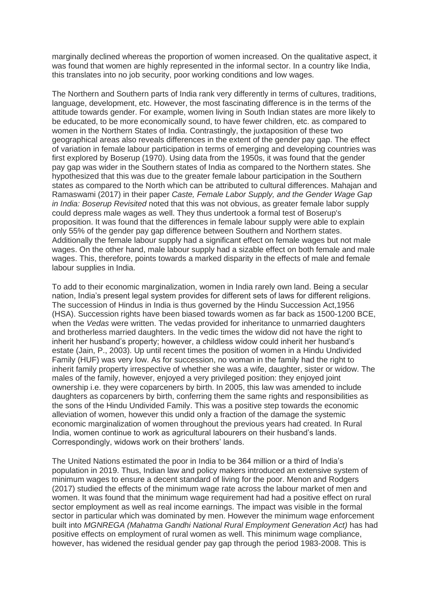marginally declined whereas the proportion of women increased. On the qualitative aspect, it was found that women are highly represented in the informal sector. In a country like India, this translates into no job security, poor working conditions and low wages.

The Northern and Southern parts of India rank very differently in terms of cultures, traditions, language, development, etc. However, the most fascinating difference is in the terms of the attitude towards gender. For example, women living in South Indian states are more likely to be educated, to be more economically sound, to have fewer children, etc. as compared to women in the Northern States of India. Contrastingly, the juxtaposition of these two geographical areas also reveals differences in the extent of the gender pay gap. The effect of variation in female labour participation in terms of emerging and developing countries was first explored by Boserup (1970). Using data from the 1950s, it was found that the gender pay gap was wider in the Southern states of India as compared to the Northern states. She hypothesized that this was due to the greater female labour participation in the Southern states as compared to the North which can be attributed to cultural differences. Mahajan and Ramaswami (2017) in their paper *Caste, Female Labor Supply, and the Gender Wage Gap in India: Boserup Revisited* noted that this was not obvious, as greater female labor supply could depress male wages as well. They thus undertook a formal test of Boserup's proposition. It was found that the differences in female labour supply were able to explain only 55% of the gender pay gap difference between Southern and Northern states. Additionally the female labour supply had a significant effect on female wages but not male wages. On the other hand, male labour supply had a sizable effect on both female and male wages. This, therefore, points towards a marked disparity in the effects of male and female labour supplies in India.

To add to their economic marginalization, women in India rarely own land. Being a secular nation, India's present legal system provides for different sets of laws for different religions. The succession of Hindus in India is thus governed by the Hindu Succession Act,1956 (HSA). Succession rights have been biased towards women as far back as 1500-1200 BCE, when the *Vedas* were written. The vedas provided for inheritance to unmarried daughters and brotherless married daughters. In the vedic times the widow did not have the right to inherit her husband's property; however, a childless widow could inherit her husband's estate (Jain, P., 2003). Up until recent times the position of women in a Hindu Undivided Family (HUF) was very low. As for succession, no woman in the family had the right to inherit family property irrespective of whether she was a wife, daughter, sister or widow. The males of the family, however, enjoyed a very privileged position: they enjoyed joint ownership i.e. they were coparceners by birth. In 2005, this law was amended to include daughters as coparceners by birth, conferring them the same rights and responsibilities as the sons of the Hindu Undivided Family. This was a positive step towards the economic alleviation of women, however this undid only a fraction of the damage the systemic economic marginalization of women throughout the previous years had created. In Rural India, women continue to work as agricultural labourers on their husband's lands. Correspondingly, widows work on their brothers' lands.

The United Nations estimated the poor in India to be 364 million or a third of India's population in 2019. Thus, Indian law and policy makers introduced an extensive system of minimum wages to ensure a decent standard of living for the poor. Menon and Rodgers (2017) studied the effects of the minimum wage rate across the labour market of men and women. It was found that the minimum wage requirement had had a positive effect on rural sector employment as well as real income earnings. The impact was visible in the formal sector in particular which was dominated by men. However the minimum wage enforcement built into *MGNREGA (Mahatma Gandhi National Rural Employment Generation Act)* has had positive effects on employment of rural women as well. This minimum wage compliance, however, has widened the residual gender pay gap through the period 1983-2008. This is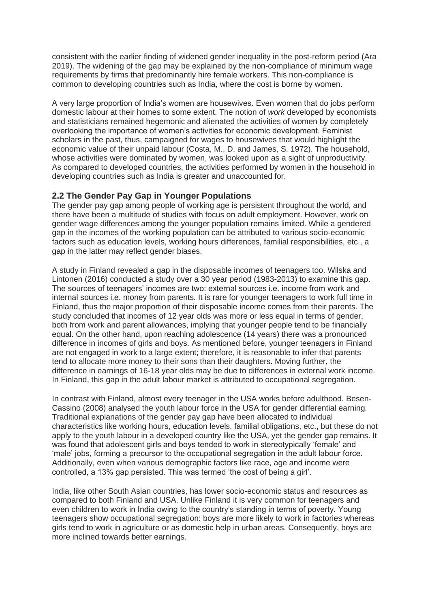consistent with the earlier finding of widened gender inequality in the post-reform period (Ara 2019). The widening of the gap may be explained by the non-compliance of minimum wage requirements by firms that predominantly hire female workers. This non-compliance is common to developing countries such as India, where the cost is borne by women.

A very large proportion of India's women are housewives. Even women that do jobs perform domestic labour at their homes to some extent. The notion of *work* developed by economists and statisticians remained hegemonic and alienated the activities of women by completely overlooking the importance of women's activities for economic development. Feminist scholars in the past, thus, campaigned for wages to housewives that would highlight the economic value of their unpaid labour (Costa, M., D. and James, S. 1972). The household, whose activities were dominated by women, was looked upon as a sight of unproductivity. As compared to developed countries, the activities performed by women in the household in developing countries such as India is greater and unaccounted for.

#### **2.2 The Gender Pay Gap in Younger Populations**

The gender pay gap among people of working age is persistent throughout the world, and there have been a multitude of studies with focus on adult employment. However, work on gender wage differences among the younger population remains limited. While a gendered gap in the incomes of the working population can be attributed to various socio-economic factors such as education levels, working hours differences, familial responsibilities, etc., a gap in the latter may reflect gender biases.

A study in Finland revealed a gap in the disposable incomes of teenagers too. Wilska and Lintonen (2016) conducted a study over a 30 year period (1983-2013) to examine this gap. The sources of teenagers' incomes are two: external sources i.e. income from work and internal sources i.e. money from parents. It is rare for younger teenagers to work full time in Finland, thus the major proportion of their disposable income comes from their parents. The study concluded that incomes of 12 year olds was more or less equal in terms of gender, both from work and parent allowances, implying that younger people tend to be financially equal. On the other hand, upon reaching adolescence (14 years) there was a pronounced difference in incomes of girls and boys. As mentioned before, younger teenagers in Finland are not engaged in work to a large extent; therefore, it is reasonable to infer that parents tend to allocate more money to their sons than their daughters. Moving further, the difference in earnings of 16-18 year olds may be due to differences in external work income. In Finland, this gap in the adult labour market is attributed to occupational segregation.

In contrast with Finland, almost every teenager in the USA works before adulthood. Besen-Cassino (2008) analysed the youth labour force in the USA for gender differential earning. Traditional explanations of the gender pay gap have been allocated to individual characteristics like working hours, education levels, familial obligations, etc., but these do not apply to the youth labour in a developed country like the USA, yet the gender gap remains. It was found that adolescent girls and boys tended to work in stereotypically 'female' and 'male' jobs, forming a precursor to the occupational segregation in the adult labour force. Additionally, even when various demographic factors like race, age and income were controlled, a 13% gap persisted. This was termed 'the cost of being a girl'.

India, like other South Asian countries, has lower socio-economic status and resources as compared to both Finland and USA. Unlike Finland it is very common for teenagers and even children to work in India owing to the country's standing in terms of poverty. Young teenagers show occupational segregation: boys are more likely to work in factories whereas girls tend to work in agriculture or as domestic help in urban areas. Consequently, boys are more inclined towards better earnings.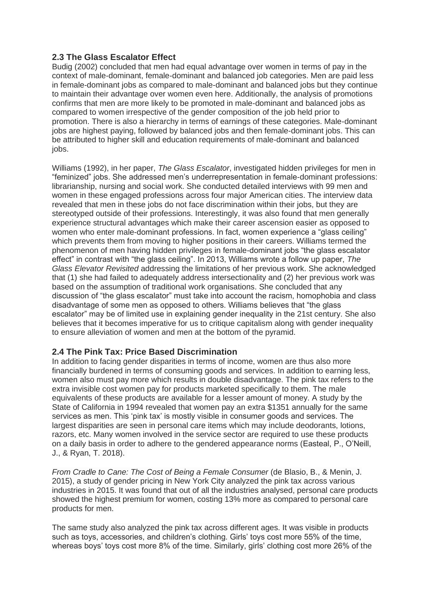## **2.3 The Glass Escalator Effect**

Budig (2002) concluded that men had equal advantage over women in terms of pay in the context of male-dominant, female-dominant and balanced job categories. Men are paid less in female-dominant jobs as compared to male-dominant and balanced jobs but they continue to maintain their advantage over women even here. Additionally, the analysis of promotions confirms that men are more likely to be promoted in male-dominant and balanced jobs as compared to women irrespective of the gender composition of the job held prior to promotion. There is also a hierarchy in terms of earnings of these categories. Male-dominant jobs are highest paying, followed by balanced jobs and then female-dominant jobs. This can be attributed to higher skill and education requirements of male-dominant and balanced jobs.

Williams (1992), in her paper, *The Glass Escalator*, investigated hidden privileges for men in "feminized" jobs. She addressed men's underrepresentation in female-dominant professions: librarianship, nursing and social work. She conducted detailed interviews with 99 men and women in these engaged professions across four major American cities. The interview data revealed that men in these jobs do not face discrimination within their jobs, but they are stereotyped outside of their professions. Interestingly, it was also found that men generally experience structural advantages which make their career ascension easier as opposed to women who enter male-dominant professions. In fact, women experience a "glass ceiling" which prevents them from moving to higher positions in their careers. Williams termed the phenomenon of men having hidden privileges in female-dominant jobs "the glass escalator effect" in contrast with "the glass ceiling". In 2013, Williams wrote a follow up paper, *The Glass Elevator Revisited* addressing the limitations of her previous work. She acknowledged that (1) she had failed to adequately address intersectionality and (2) her previous work was based on the assumption of traditional work organisations. She concluded that any discussion of "the glass escalator" must take into account the racism, homophobia and class disadvantage of some men as opposed to others. Williams believes that "the glass escalator" may be of limited use in explaining gender inequality in the 21st century. She also believes that it becomes imperative for us to critique capitalism along with gender inequality to ensure alleviation of women and men at the bottom of the pyramid.

## **2.4 The Pink Tax: Price Based Discrimination**

In addition to facing gender disparities in terms of income, women are thus also more financially burdened in terms of consuming goods and services. In addition to earning less, women also must pay more which results in double disadvantage. The pink tax refers to the extra invisible cost women pay for products marketed specifically to them. The male equivalents of these products are available for a lesser amount of money. A study by the State of California in 1994 revealed that women pay an extra \$1351 annually for the same services as men. This 'pink tax' is mostly visible in consumer goods and services. The largest disparities are seen in personal care items which may include deodorants, lotions, razors, etc. Many women involved in the service sector are required to use these products on a daily basis in order to adhere to the gendered appearance norms (Easteal, P., O'Neill, J., & Ryan, T. 2018).

*From Cradle to Cane: The Cost of Being a Female Consumer* (de Blasio, B., & Menin, J. 2015), a study of gender pricing in New York City analyzed the pink tax across various industries in 2015. It was found that out of all the industries analysed, personal care products showed the highest premium for women, costing 13% more as compared to personal care products for men.

The same study also analyzed the pink tax across different ages. It was visible in products such as toys, accessories, and children's clothing. Girls' toys cost more 55% of the time, whereas boys' toys cost more 8% of the time. Similarly, girls' clothing cost more 26% of the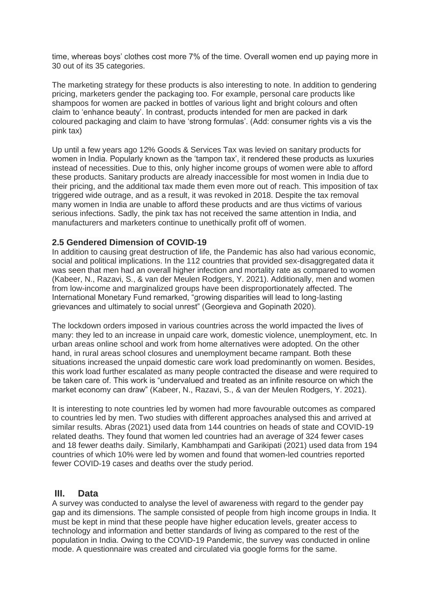time, whereas boys' clothes cost more 7% of the time. Overall women end up paying more in 30 out of its 35 categories.

The marketing strategy for these products is also interesting to note. In addition to gendering pricing, marketers gender the packaging too. For example, personal care products like shampoos for women are packed in bottles of various light and bright colours and often claim to 'enhance beauty'. In contrast, products intended for men are packed in dark coloured packaging and claim to have 'strong formulas'. (Add: consumer rights vis a vis the pink tax)

Up until a few years ago 12% Goods & Services Tax was levied on sanitary products for women in India. Popularly known as the 'tampon tax', it rendered these products as luxuries instead of necessities. Due to this, only higher income groups of women were able to afford these products. Sanitary products are already inaccessible for most women in India due to their pricing, and the additional tax made them even more out of reach. This imposition of tax triggered wide outrage, and as a result, it was revoked in 2018. Despite the tax removal many women in India are unable to afford these products and are thus victims of various serious infections. Sadly, the pink tax has not received the same attention in India, and manufacturers and marketers continue to unethically profit off of women.

#### **2.5 Gendered Dimension of COVID-19**

In addition to causing great destruction of life, the Pandemic has also had various economic, social and political implications. In the 112 countries that provided sex-disaggregated data it was seen that men had an overall higher infection and mortality rate as compared to women (Kabeer, N., Razavi, S., & van der Meulen Rodgers, Y. 2021). Additionally, men and women from low-income and marginalized groups have been disproportionately affected. The International Monetary Fund remarked, "growing disparities will lead to long-lasting grievances and ultimately to social unrest" (Georgieva and Gopinath 2020).

The lockdown orders imposed in various countries across the world impacted the lives of many: they led to an increase in unpaid care work, domestic violence, unemployment, etc. In urban areas online school and work from home alternatives were adopted. On the other hand, in rural areas school closures and unemployment became rampant. Both these situations increased the unpaid domestic care work load predominantly on women. Besides, this work load further escalated as many people contracted the disease and were required to be taken care of. This work is "undervalued and treated as an infinite resource on which the market economy can draw" (Kabeer, N., Razavi, S., & van der Meulen Rodgers, Y. 2021).

It is interesting to note countries led by women had more favourable outcomes as compared to countries led by men. Two studies with different approaches analysed this and arrived at similar results. Abras (2021) used data from 144 countries on heads of state and COVID-19 related deaths. They found that women led countries had an average of 324 fewer cases and 18 fewer deaths daily. Similarly, Kambhampati and Garikipati (2021) used data from 194 countries of which 10% were led by women and found that women-led countries reported fewer COVID-19 cases and deaths over the study period.

## **III. Data**

A survey was conducted to analyse the level of awareness with regard to the gender pay gap and its dimensions. The sample consisted of people from high income groups in India. It must be kept in mind that these people have higher education levels, greater access to technology and information and better standards of living as compared to the rest of the population in India. Owing to the COVID-19 Pandemic, the survey was conducted in online mode. A questionnaire was created and circulated via google forms for the same.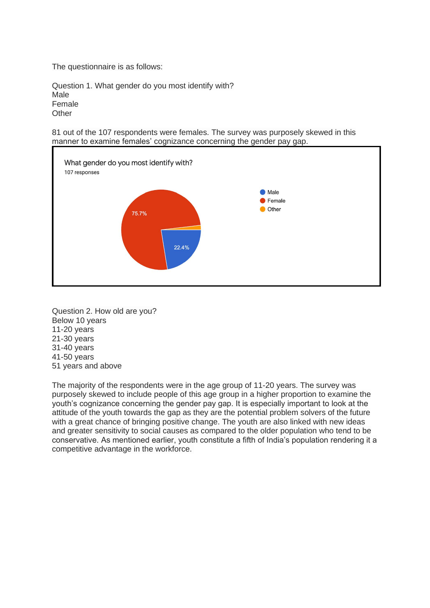The questionnaire is as follows:

Question 1. What gender do you most identify with? Male Female **Other** 

81 out of the 107 respondents were females. The survey was purposely skewed in this manner to examine females' cognizance concerning the gender pay gap.



Question 2. How old are you? Below 10 years 11-20 years 21-30 years 31-40 years 41-50 years 51 years and above

The majority of the respondents were in the age group of 11-20 years. The survey was purposely skewed to include people of this age group in a higher proportion to examine the youth's cognizance concerning the gender pay gap. It is especially important to look at the attitude of the youth towards the gap as they are the potential problem solvers of the future with a great chance of bringing positive change. The youth are also linked with new ideas and greater sensitivity to social causes as compared to the older population who tend to be conservative. As mentioned earlier, youth constitute a fifth of India's population rendering it a competitive advantage in the workforce.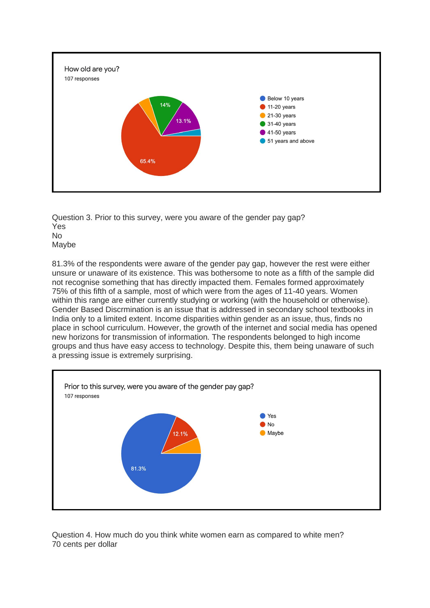

Question 3. Prior to this survey, were you aware of the gender pay gap? Yes No Maybe

81.3% of the respondents were aware of the gender pay gap, however the rest were either unsure or unaware of its existence. This was bothersome to note as a fifth of the sample did not recognise something that has directly impacted them. Females formed approximately 75% of this fifth of a sample, most of which were from the ages of 11-40 years. Women within this range are either currently studying or working (with the household or otherwise). Gender Based Discrmination is an issue that is addressed in secondary school textbooks in India only to a limited extent. Income disparities within gender as an issue, thus, finds no place in school curriculum. However, the growth of the internet and social media has opened new horizons for transmission of information. The respondents belonged to high income groups and thus have easy access to technology. Despite this, them being unaware of such a pressing issue is extremely surprising.



Question 4. How much do you think white women earn as compared to white men? 70 cents per dollar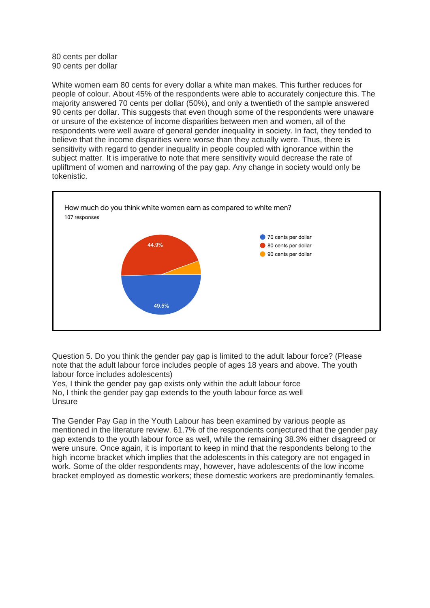80 cents per dollar 90 cents per dollar

White women earn 80 cents for every dollar a white man makes. This further reduces for people of colour. About 45% of the respondents were able to accurately conjecture this. The majority answered 70 cents per dollar (50%), and only a twentieth of the sample answered 90 cents per dollar. This suggests that even though some of the respondents were unaware or unsure of the existence of income disparities between men and women, all of the respondents were well aware of general gender inequality in society. In fact, they tended to believe that the income disparities were worse than they actually were. Thus, there is sensitivity with regard to gender inequality in people coupled with ignorance within the subject matter. It is imperative to note that mere sensitivity would decrease the rate of upliftment of women and narrowing of the pay gap. Any change in society would only be tokenistic.

![](_page_8_Figure_2.jpeg)

Question 5. Do you think the gender pay gap is limited to the adult labour force? (Please note that the adult labour force includes people of ages 18 years and above. The youth labour force includes adolescents)

Yes, I think the gender pay gap exists only within the adult labour force No, I think the gender pay gap extends to the youth labour force as well **Unsure** 

The Gender Pay Gap in the Youth Labour has been examined by various people as mentioned in the literature review. 61.7% of the respondents conjectured that the gender pay gap extends to the youth labour force as well, while the remaining 38.3% either disagreed or were unsure. Once again, it is important to keep in mind that the respondents belong to the high income bracket which implies that the adolescents in this category are not engaged in work. Some of the older respondents may, however, have adolescents of the low income bracket employed as domestic workers; these domestic workers are predominantly females.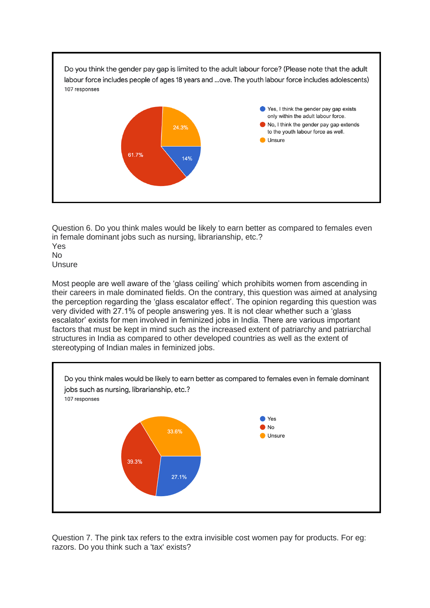![](_page_9_Figure_0.jpeg)

Question 6. Do you think males would be likely to earn better as compared to females even in female dominant jobs such as nursing, librarianship, etc.? Yes No **Unsure** 

Most people are well aware of the 'glass ceiling' which prohibits women from ascending in their careers in male dominated fields. On the contrary, this question was aimed at analysing the perception regarding the 'glass escalator effect'. The opinion regarding this question was very divided with 27.1% of people answering yes. It is not clear whether such a 'glass escalator' exists for men involved in feminized jobs in India. There are various important factors that must be kept in mind such as the increased extent of patriarchy and patriarchal structures in India as compared to other developed countries as well as the extent of stereotyping of Indian males in feminized jobs.

![](_page_9_Figure_3.jpeg)

Question 7. The pink tax refers to the extra invisible cost women pay for products. For eg: razors. Do you think such a 'tax' exists?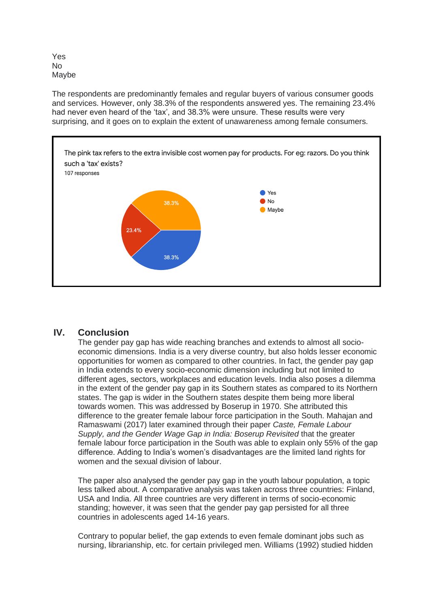Yes No Maybe

The respondents are predominantly females and regular buyers of various consumer goods and services. However, only 38.3% of the respondents answered yes. The remaining 23.4% had never even heard of the 'tax', and 38.3% were unsure. These results were very surprising, and it goes on to explain the extent of unawareness among female consumers.

![](_page_10_Figure_2.jpeg)

## **IV. Conclusion**

The gender pay gap has wide reaching branches and extends to almost all socioeconomic dimensions. India is a very diverse country, but also holds lesser economic opportunities for women as compared to other countries. In fact, the gender pay gap in India extends to every socio-economic dimension including but not limited to different ages, sectors, workplaces and education levels. India also poses a dilemma in the extent of the gender pay gap in its Southern states as compared to its Northern states. The gap is wider in the Southern states despite them being more liberal towards women. This was addressed by Boserup in 1970. She attributed this difference to the greater female labour force participation in the South. Mahajan and Ramaswami (2017) later examined through their paper *Caste, Female Labour Supply, and the Gender Wage Gap in India: Boserup Revisited* that the greater female labour force participation in the South was able to explain only 55% of the gap difference. Adding to India's women's disadvantages are the limited land rights for women and the sexual division of labour.

The paper also analysed the gender pay gap in the youth labour population, a topic less talked about. A comparative analysis was taken across three countries: Finland, USA and India. All three countries are very different in terms of socio-economic standing; however, it was seen that the gender pay gap persisted for all three countries in adolescents aged 14-16 years.

Contrary to popular belief, the gap extends to even female dominant jobs such as nursing, librarianship, etc. for certain privileged men. Williams (1992) studied hidden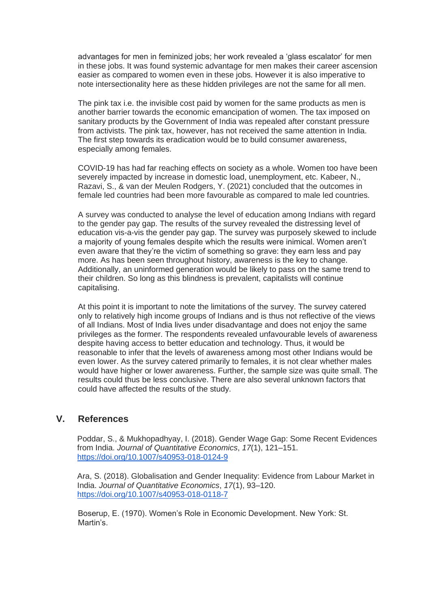advantages for men in feminized jobs; her work revealed a 'glass escalator' for men in these jobs. It was found systemic advantage for men makes their career ascension easier as compared to women even in these jobs. However it is also imperative to note intersectionality here as these hidden privileges are not the same for all men.

The pink tax i.e. the invisible cost paid by women for the same products as men is another barrier towards the economic emancipation of women. The tax imposed on sanitary products by the Government of India was repealed after constant pressure from activists. The pink tax, however, has not received the same attention in India. The first step towards its eradication would be to build consumer awareness, especially among females.

COVID-19 has had far reaching effects on society as a whole. Women too have been severely impacted by increase in domestic load, unemployment, etc. Kabeer, N., Razavi, S., & van der Meulen Rodgers, Y. (2021) concluded that the outcomes in female led countries had been more favourable as compared to male led countries.

A survey was conducted to analyse the level of education among Indians with regard to the gender pay gap. The results of the survey revealed the distressing level of education vis-a-vis the gender pay gap. The survey was purposely skewed to include a majority of young females despite which the results were inimical. Women aren't even aware that they're the victim of something so grave: they earn less and pay more. As has been seen throughout history, awareness is the key to change. Additionally, an uninformed generation would be likely to pass on the same trend to their children. So long as this blindness is prevalent, capitalists will continue capitalising.

At this point it is important to note the limitations of the survey. The survey catered only to relatively high income groups of Indians and is thus not reflective of the views of all Indians. Most of India lives under disadvantage and does not enjoy the same privileges as the former. The respondents revealed unfavourable levels of awareness despite having access to better education and technology. Thus, it would be reasonable to infer that the levels of awareness among most other Indians would be even lower. As the survey catered primarily to females, it is not clear whether males would have higher or lower awareness. Further, the sample size was quite small. The results could thus be less conclusive. There are also several unknown factors that could have affected the results of the study.

## **V. References**

Poddar, S., & Mukhopadhyay, I. (2018). Gender Wage Gap: Some Recent Evidences from India. *Journal of Quantitative Economics*, *17*(1), 121–15[1.](https://doi.org/10.1007/s40953-018-0124-9) <https://doi.org/10.1007/s40953-018-0124-9>

Ara, S. (2018). Globalisation and Gender Inequality: Evi[dence from Labour Market in](https://doi.org/10.1007/s40953-018-0118-7)  India. *Journal of Quantitative Economics*, *17*(1), 93–120. <https://doi.org/10.1007/s40953-018-0118-7>

Boserup, E. (1970). Women's Role in Economic Development. New York: St. Martin's.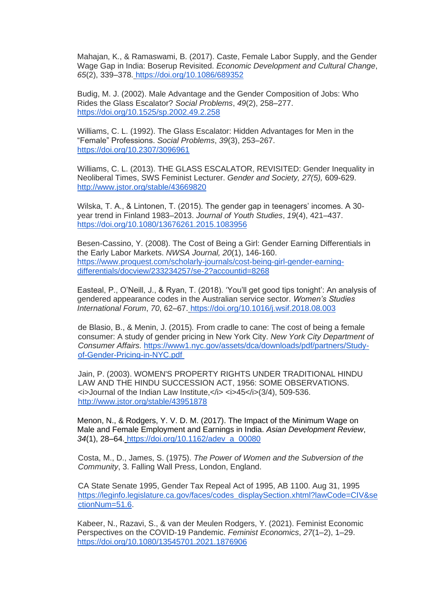Mahajan, K., & Ramaswami, B. (2017). Caste, Female Labor Supply, and the Gender Wage Gap in India: Boserup Revisited. *Economic Development and Cultural Change*, *65*(2), 339–378. <https://doi.org/10.1086/689352>

Budig, M. J. (2002). Male Advantage and the Gender Composition of Jobs: Who Rides the Glass Escalator? *Social Problems*, *49*(2), 258–277[.](https://doi.org/10.1525/sp.2002.49.2.258) <https://doi.org/10.1525/sp.2002.49.2.258>

Williams, C. L. (1992). The Glass Escalator: Hidden Advantages for Men in the "Female" Professions. *Social Problems*, *39*(3), 253–267[.](https://doi.org/10.2307/3096961) <https://doi.org/10.2307/3096961>

Williams, C. L. (2013). THE GLASS ESCALATOR, REVISITED: Gender Inequality in Neoliberal Times, SWS Feminist Lecturer. *Gender and Society, 27(5),* 609-629[.](http://www.jstor.org/stable/43669820) <http://www.jstor.org/stable/43669820>

Wilska, T. A., & Lintonen, T. (2015). The gender gap in teenagers' incomes. A 30 year trend in Finland 1983–2013. *Journal of Youth Studies*, *19*(4), 421–437[.](https://doi.org/10.1080/13676261.2015.1083956) <https://doi.org/10.1080/13676261.2015.1083956>

Besen-Cassino, Y. (2008). The Cost of Being a Girl: Ge[nder Earning Differentials in](https://www.proquest.com/scholarly-journals/cost-being-girl-gender-earning-differentials/docview/233234257/se-2?accountid=8268)  the Early Labor Markets. *NWSA Journal, 20*(1), 146-160. [https://www.proquest.com/scholarly-journals/cost-being-girl-gender-earning](https://www.proquest.com/scholarly-journals/cost-being-girl-gender-earning-differentials/docview/233234257/se-2?accountid=8268)[differentials/docview/233234257/se-2?accountid=8268](https://www.proquest.com/scholarly-journals/cost-being-girl-gender-earning-differentials/docview/233234257/se-2?accountid=8268)

Easteal, P., O'Neill, J., & Ryan, T. (2018). 'You'll get good tips tonight': An analysis of gendered appearance codes in the Australian service sector. *Women's Studies International Forum*, *70*, 62–67. <https://doi.org/10.1016/j.wsif.2018.08.003>

de Blasio, B., & Menin, J. (2015)*.* From cradle to cane: The cost of being a female consumer: A study of gender pricing in New York City. *New York City Department of Consumer Affairs.* [https://www1.nyc.gov/assets/dca/downloads/pdf/partners/Study](https://www1.nyc.gov/assets/dca/downloads/pdf/partners/Study-of-Gender-Pricing-in-NYC.pdf)[of-Gender-Pricing-in-NYC.pdf](https://www1.nyc.gov/assets/dca/downloads/pdf/partners/Study-of-Gender-Pricing-in-NYC.pdf)

Jain, P. (2003). WOMEN'S PROPERTY RIGHTS UNDER TRADITIONAL HINDU LAW AND THE HINDU SUCCESSION ACT, 1956: SOME OBSERVATIONS. <i>Journal of the Indian Law Institute,</i> <i>45</i>(3/4), 509-536. <http://www.jstor.org/stable/43951878>

Menon, N., & Rodgers, Y. V. D. M. (2017). The Impact of the Minimum Wage on Male and Female Employment and Earnings in India. *Asian Development Review*, *34*(1), 28–64. [https://doi.org/10.1162/adev\\_a\\_00080](https://doi.org/10.1162/adev_a_00080)

Costa, M., D., James, S. (1975). *The Power of Women and the Subversion of the Community*, 3. Falling Wall Press, London, England.

CA State Senate 1995, Gender Tax Repeal Act of 1995, AB 1100. Aug 31, 1995 [https://leginfo.legislature.ca.gov/faces/codes\\_displaySection.xhtml?lawCode=CIV&se](https://leginfo.legislature.ca.gov/faces/codes_displaySection.xhtml?lawCode=CIV§ionNum=51.6) [ctionNum=51.6.](https://leginfo.legislature.ca.gov/faces/codes_displaySection.xhtml?lawCode=CIV§ionNum=51.6)

Kabeer, N., Razavi, S., & van der Meulen Rodgers, Y. (2021). Feminist Economic Perspectives on the COVID-19 Pandemic. *Feminist Economics*, *27*(1–2), 1–29[.](https://doi.org/10.1080/13545701.2021.1876906) <https://doi.org/10.1080/13545701.2021.1876906>